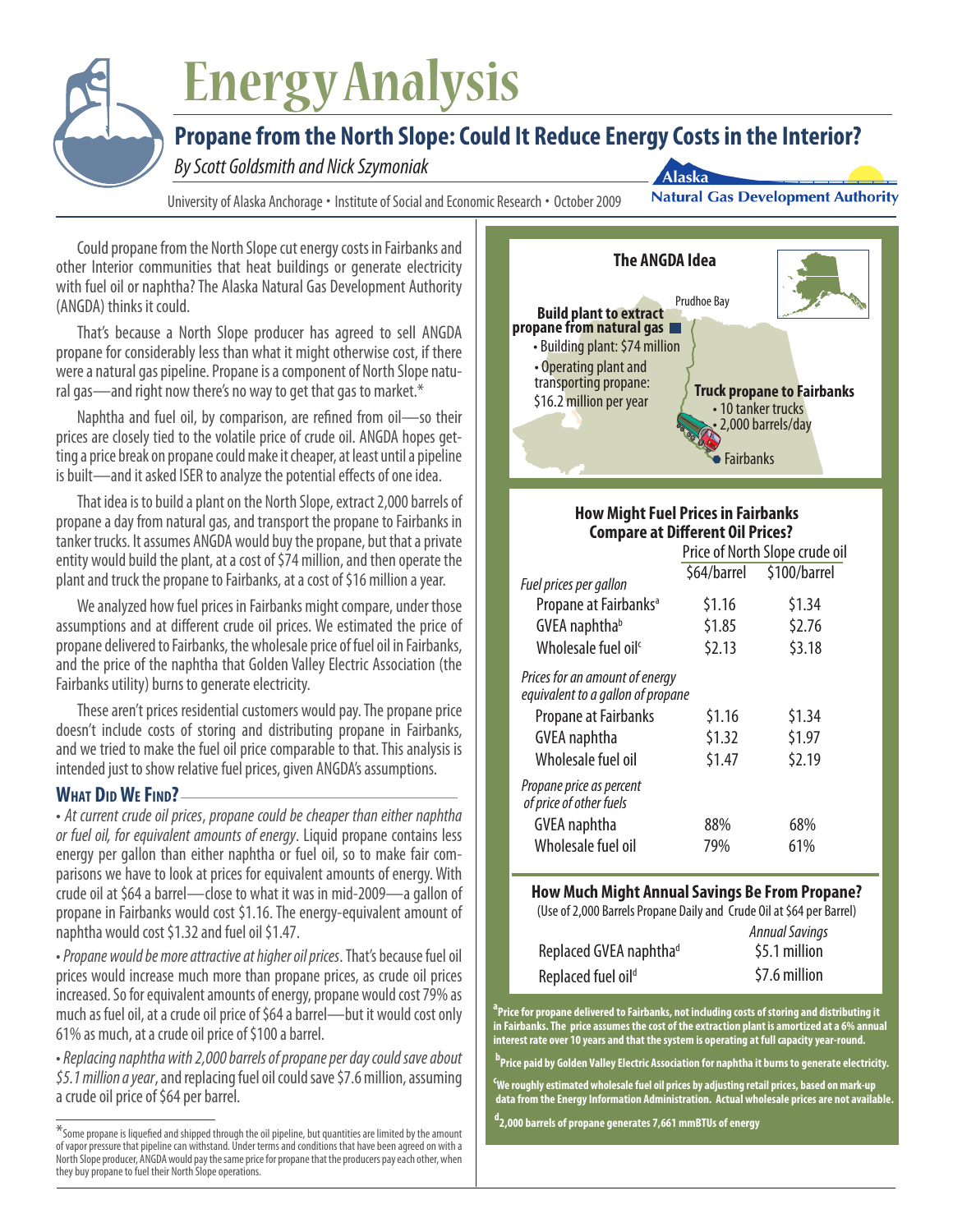# **Energy Analysis**

# **Propane from the North Slope: Could It Reduce Energy Costs in the Interior?**

**By Scott Goldsmith and Nick Szymoniak** 

University of Alaska Anchorage • Institute of Social and Economic Research • October 2009

**Natural Gas Development Authority** 

Could propane from the North Slope cut energy costs in Fairbanks and other Interior communities that heat buildings or generate electricity with fuel oil or naphtha? The Alaska Natural Gas Development Authority (ANGDA) thinks it could.

That's because a North Slope producer has agreed to sell ANGDA propane for considerably less than what it might otherwise cost, if there were a natural gas pipeline. Propane is a component of North Slope natural gas—and right now there's no way to get that gas to market.\*

Naphtha and fuel oil, by comparison, are refined from oil—so their prices are closely tied to the volatile price of crude oil. ANGDA hopes getting a price break on propane could make it cheaper, at least until a pipeline is built—and it asked ISER to analyze the potential effects of one idea.

That idea is to build a plant on the North Slope, extract 2,000 barrels of propane a day from natural gas, and transport the propane to Fairbanks in tanker trucks. It assumes ANGDA would buy the propane, but that a private entity would build the plant, at a cost of \$74 million, and then operate the plant and truck the propane to Fairbanks, at a cost of \$16 million a year.

We analyzed how fuel prices in Fairbanks might compare, under those assumptions and at different crude oil prices. We estimated the price of propane delivered to Fairbanks, the wholesale price of fuel oil in Fairbanks, and the price of the naphtha that Golden Valley Electric Association (the Fairbanks utility) burns to generate electricity.

These aren't prices residential customers would pay. The propane price doesn't include costs of storing and distributing propane in Fairbanks, and we tried to make the fuel oil price comparable to that. This analysis is intended just to show relative fuel prices, given ANGDA's assumptions.

## **What Did We Find?**

• *At current crude oil prices*, *propane could be cheaper than either naphtha or fuel oil, for equivalent amounts of energy*. Liquid propane contains less energy per gallon than either naphtha or fuel oil, so to make fair comparisons we have to look at prices for equivalent amounts of energy. With crude oil at \$64 a barrel—close to what it was in mid-2009—a gallon of propane in Fairbanks would cost \$1.16. The energy-equivalent amount of naphtha would cost \$1.32 and fuel oil \$1.47.

• *Propane would be more attractive at higher oil prices*. That's because fuel oil prices would increase much more than propane prices, as crude oil prices increased. So for equivalent amounts of energy, propane would cost 79% as much as fuel oil, at a crude oil price of \$64 a barrel—but it would cost only 61% as much, at a crude oil price of \$100 a barrel.

• *Replacing naphtha with 2,000 barrels of propane per day could save about \$5.1 million a year*, and replacing fuel oil could save \$7.6 million, assuming a crude oil price of \$64 per barrel.



Alaska

### **How Might Fuel Prices in Fairbanks Compare at Different Oil Prices?**

|                                                                     | Price of North Slope crude oil |              |
|---------------------------------------------------------------------|--------------------------------|--------------|
|                                                                     | \$64/barrel                    | \$100/barrel |
| Fuel prices per gallon                                              |                                |              |
| Propane at Fairbanks <sup>a</sup>                                   | \$1.16                         | \$1.34       |
| GVEA naphthab                                                       | \$1.85                         | \$2.76       |
| Wholesale fuel oil <sup>c</sup>                                     | 52.13                          | \$3.18       |
| Prices for an amount of energy<br>equivalent to a gallon of propane |                                |              |
| Propane at Fairbanks                                                | \$1.16                         | \$1.34       |
| GVEA naphtha                                                        | \$1.32                         | \$1.97       |
| Wholesale fuel oil                                                  | \$1.47                         | \$2.19       |
| Propane price as percent<br>of price of other fuels                 |                                |              |
| GVEA naphtha                                                        | 88%                            | 68%          |
| Wholesale fuel oil                                                  | 79%                            | 61%          |

#### **How Much Might Annual Savings Be From Propane?**

(Use of 2,000 Barrels Propane Daily and Crude Oil at \$64 per Barrel)

|                                    | <b>Annual Savings</b> |
|------------------------------------|-----------------------|
| Replaced GVEA naphtha <sup>d</sup> | \$5.1 million         |
| Replaced fuel oil <sup>d</sup>     | \$7.6 million         |

**a Price for propane delivered to Fairbanks, not including costs of storing and distributing it in Fairbanks. The price assumes the cost of the extraction plant is amortized at a 6% annual interest rate over 10 years and that the system is operating at full capacity year-round.**

**b Price paid by Golden Valley Electric Association for naphtha it burns to generate electricity.**

**c We roughly estimated wholesale fuel oil prices by adjusting retail prices, based on mark-up data from the Energy Information Administration. Actual wholesale prices are not available.** 

**d 2,000 barrels of propane generates 7,661 mmBTUs of energy**

 $*$  Some propane is liquefied and shipped through the oil pipeline, but quantities are limited by the amount of vapor pressure that pipeline can withstand. Under terms and conditions that have been agreed on with a North Slope producer, ANGDA would pay the same price for propane that the producers pay each other, when they buy propane to fuel their North Slope operations.